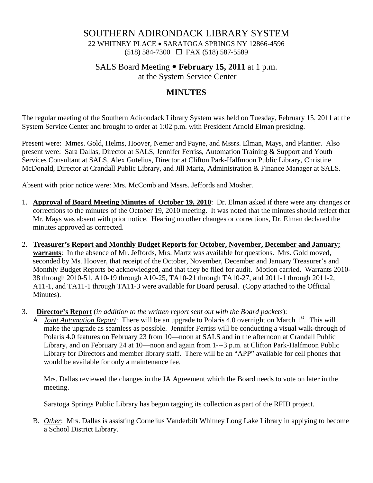## SOUTHERN ADIRONDACK LIBRARY SYSTEM

22 WHITNEY PLACE • SARATOGA SPRINGS NY 12866-4596 (518) 584-7300 FAX (518) 587-5589

## SALS Board Meeting • **February 15, 2011** at 1 p.m.

at the System Service Center

# **MINUTES**

The regular meeting of the Southern Adirondack Library System was held on Tuesday, February 15, 2011 at the System Service Center and brought to order at 1:02 p.m. with President Arnold Elman presiding.

Present were: Mmes. Gold, Helms, Hoover, Nemer and Payne, and Mssrs. Elman, Mays, and Plantier. Also present were: Sara Dallas, Director at SALS, Jennifer Ferriss, Automation Training & Support and Youth Services Consultant at SALS, Alex Gutelius, Director at Clifton Park-Halfmoon Public Library, Christine McDonald, Director at Crandall Public Library, and Jill Martz, Administration & Finance Manager at SALS.

Absent with prior notice were: Mrs. McComb and Mssrs. Jeffords and Mosher.

- 1. **Approval of Board Meeting Minutes of October 19, 2010**: Dr. Elman asked if there were any changes or corrections to the minutes of the October 19, 2010 meeting. It was noted that the minutes should reflect that Mr. Mays was absent with prior notice. Hearing no other changes or corrections, Dr. Elman declared the minutes approved as corrected.
- 2. **Treasurer's Report and Monthly Budget Reports for October, November, December and January; warrants**: In the absence of Mr. Jeffords, Mrs. Martz was available for questions. Mrs. Gold moved, seconded by Ms. Hoover, that receipt of the October, November, December and January Treasurer's and Monthly Budget Reports be acknowledged, and that they be filed for audit. Motion carried. Warrants 2010- 38 through 2010-51, A10-19 through A10-25, TA10-21 through TA10-27, and 2011-1 through 2011-2, A11-1, and TA11-1 through TA11-3 were available for Board perusal. (Copy attached to the Official Minutes).
- 3. **Director's Report** (*in addition to the written report sent out with the Board packets*):
	- A. *Joint Automation Report*: There will be an upgrade to Polaris 4.0 overnight on March 1<sup>st</sup>. This will make the upgrade as seamless as possible. Jennifer Ferriss will be conducting a visual walk-through of Polaris 4.0 features on February 23 from 10—noon at SALS and in the afternoon at Crandall Public Library, and on February 24 at 10—noon and again from 1---3 p.m. at Clifton Park-Halfmoon Public Library for Directors and member library staff. There will be an "APP" available for cell phones that would be available for only a maintenance fee.

Mrs. Dallas reviewed the changes in the JA Agreement which the Board needs to vote on later in the meeting.

Saratoga Springs Public Library has begun tagging its collection as part of the RFID project.

B. *Other*: Mrs. Dallas is assisting Cornelius Vanderbilt Whitney Long Lake Library in applying to become a School District Library.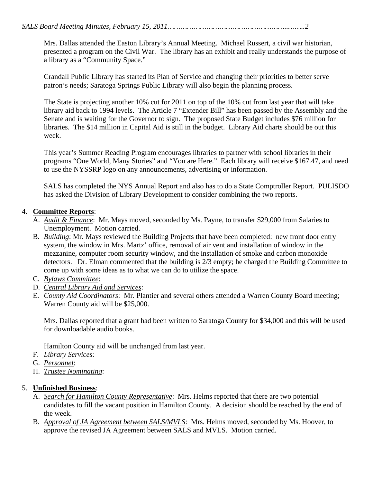Mrs. Dallas attended the Easton Library's Annual Meeting. Michael Russert, a civil war historian, presented a program on the Civil War. The library has an exhibit and really understands the purpose of a library as a "Community Space."

Crandall Public Library has started its Plan of Service and changing their priorities to better serve patron's needs; Saratoga Springs Public Library will also begin the planning process.

The State is projecting another 10% cut for 2011 on top of the 10% cut from last year that will take library aid back to 1994 levels. The Article 7 "Extender Bill" has been passed by the Assembly and the Senate and is waiting for the Governor to sign. The proposed State Budget includes \$76 million for libraries. The \$14 million in Capital Aid is still in the budget. Library Aid charts should be out this week.

This year's Summer Reading Program encourages libraries to partner with school libraries in their programs "One World, Many Stories" and "You are Here." Each library will receive \$167.47, and need to use the NYSSRP logo on any announcements, advertising or information.

SALS has completed the NYS Annual Report and also has to do a State Comptroller Report. PULISDO has asked the Division of Library Development to consider combining the two reports.

### 4. **Committee Reports**:

- A. *Audit & Finance*: Mr. Mays moved, seconded by Ms. Payne, to transfer \$29,000 from Salaries to Unemployment. Motion carried.
- B. *Building*: Mr. Mays reviewed the Building Projects that have been completed: new front door entry system, the window in Mrs. Martz' office, removal of air vent and installation of window in the mezzanine, computer room security window, and the installation of smoke and carbon monoxide detectors. Dr. Elman commented that the building is 2/3 empty; he charged the Building Committee to come up with some ideas as to what we can do to utilize the space.
- C. *Bylaws Committee*:
- D. *Central Library Aid and Services*:
- E. *County Aid Coordinators*: Mr. Plantier and several others attended a Warren County Board meeting; Warren County aid will be \$25,000.

Mrs. Dallas reported that a grant had been written to Saratoga County for \$34,000 and this will be used for downloadable audio books.

Hamilton County aid will be unchanged from last year.

- F. *Library Services:*
- G. *Personnel*:
- H. *Trustee Nominating*:

### 5. **Unfinished Business**:

- A. *Search for Hamilton County Representative*: Mrs. Helms reported that there are two potential candidates to fill the vacant position in Hamilton County. A decision should be reached by the end of the week.
- B. *Approval of JA Agreement between SALS/MVLS*: Mrs. Helms moved, seconded by Ms. Hoover, to approve the revised JA Agreement between SALS and MVLS. Motion carried.